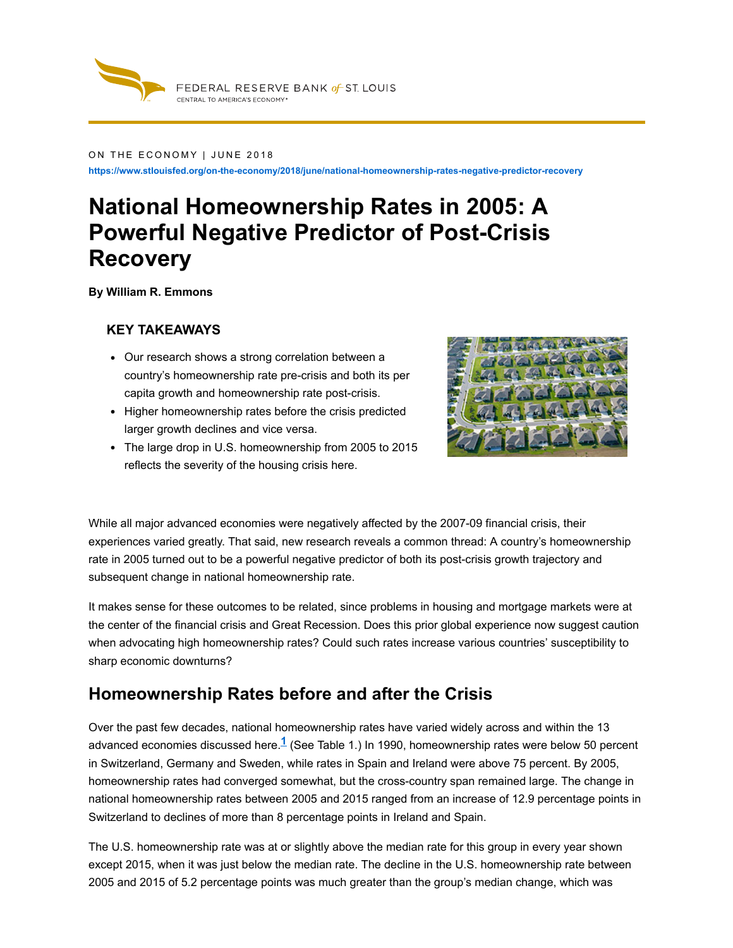

#### ON THE ECONOMY | JUNE 2018

**https://www.stlouisfed.org/on-the-economy/2018/june/national-homeownership-rates-negative-predictor-recovery**

# **National Homeownership Rates in 2005: A Powerful Negative Predictor of Post-Crisis Recovery**

**By William R. Emmons**

#### **KEY TAKEAWAYS**

- Our research shows a strong correlation between a country's homeownership rate pre-crisis and both its per capita growth and homeownership rate post-crisis.
- Higher homeownership rates before the crisis predicted larger growth declines and vice versa.
- The large drop in U.S. homeownership from 2005 to 2015 reflects the severity of the housing crisis here.



While all major advanced economies were negatively affected by the 2007-09 financial crisis, their experiences varied greatly. That said, new research reveals a common thread: A country's homeownership rate in 2005 turned out to be a powerful negative predictor of both its post-crisis growth trajectory and subsequent change in national homeownership rate.

It makes sense for these outcomes to be related, since problems in housing and mortgage markets were at the center of the financial crisis and Great Recession. Does this prior global experience now suggest caution when advocating high homeownership rates? Could such rates increase various countries' susceptibility to sharp economic downturns?

### **Homeownership Rates before and after the Crisis**

<span id="page-0-0"></span>Over the past few decades, national homeownership rates have varied widely across and within the 13 advanced economies discussed here.<sup>1</sup> (See [Table](#page-1-0) 1.) In 1990, homeownership rates were below 50 percent in Switzerland, Germany and Sweden, while rates in Spain and Ireland were above 75 percent. By 2005, homeownership rates had converged somewhat, but the cross-country span remained large. The change in national homeownership rates between 2005 and 2015 ranged from an increase of 12.9 percentage points in Switzerland to declines of more than 8 percentage points in Ireland and Spain.

The U.S. homeownership rate was at or slightly above the median rate for this group in every year shown except 2015, when it was just below the median rate. The decline in the U.S. homeownership rate between 2005 and 2015 of 5.2 percentage points was much greater than the group's median change, which was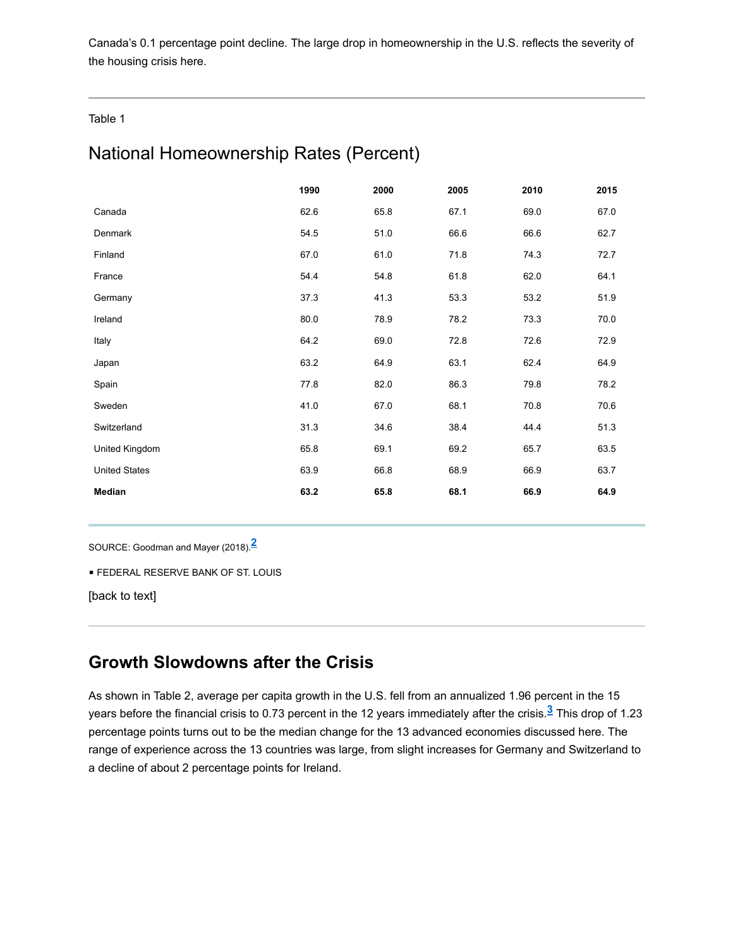Canada's 0.1 percentage point decline. The large drop in homeownership in the U.S. reflects the severity of the housing crisis here.

<span id="page-1-0"></span>Table 1

# National Homeownership Rates (Percent)

|                      | 1990 | 2000 | 2005 | 2010 | 2015 |
|----------------------|------|------|------|------|------|
| Canada               | 62.6 | 65.8 | 67.1 | 69.0 | 67.0 |
| Denmark              | 54.5 | 51.0 | 66.6 | 66.6 | 62.7 |
| Finland              | 67.0 | 61.0 | 71.8 | 74.3 | 72.7 |
| France               | 54.4 | 54.8 | 61.8 | 62.0 | 64.1 |
| Germany              | 37.3 | 41.3 | 53.3 | 53.2 | 51.9 |
| Ireland              | 80.0 | 78.9 | 78.2 | 73.3 | 70.0 |
| Italy                | 64.2 | 69.0 | 72.8 | 72.6 | 72.9 |
| Japan                | 63.2 | 64.9 | 63.1 | 62.4 | 64.9 |
| Spain                | 77.8 | 82.0 | 86.3 | 79.8 | 78.2 |
| Sweden               | 41.0 | 67.0 | 68.1 | 70.8 | 70.6 |
| Switzerland          | 31.3 | 34.6 | 38.4 | 44.4 | 51.3 |
| United Kingdom       | 65.8 | 69.1 | 69.2 | 65.7 | 63.5 |
| <b>United States</b> | 63.9 | 66.8 | 68.9 | 66.9 | 63.7 |
| Median               | 63.2 | 65.8 | 68.1 | 66.9 | 64.9 |

SOURCE: Goodman and Mayer (2018). **2**

**E FEDERAL RESERVE BANK OF ST. LOUIS** 

[\[back](#page-0-0) to text]

### **Growth Slowdowns after the Crisis**

<span id="page-1-1"></span>As shown in [Table](#page-2-0) 2, average per capita growth in the U.S. fell from an annualized 1.96 percent in the 15 years before the financial crisis to 0.73 percent in the 12 years immediately after the crisis.<sup>3</sup> This drop of 1.23 percentage points turns out to be the median change for the 13 advanced economies discussed here. The range of experience across the 13 countries was large, from slight increases for Germany and Switzerland to a decline of about 2 percentage points for Ireland.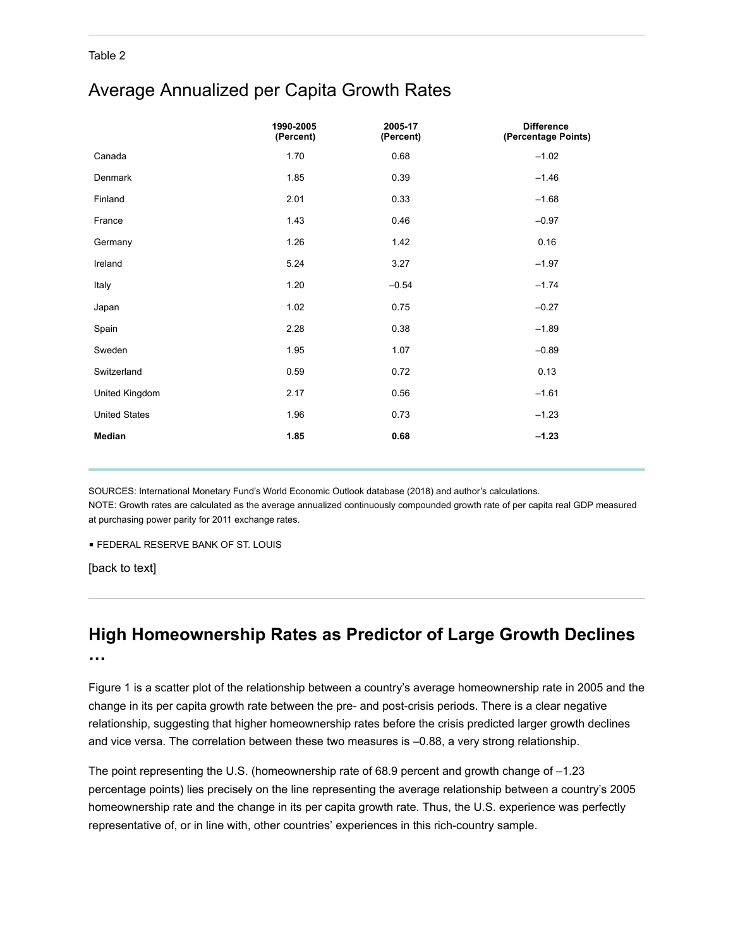#### <span id="page-2-0"></span>Table 2

## Average Annualized per Capita Growth Rates

|                      | 1990-2005<br>(Percent) | 2005-17<br>(Percent) | <b>Difference</b><br>(Percentage Points) |
|----------------------|------------------------|----------------------|------------------------------------------|
| Canada               | 1.70                   | 0.68                 | $-1.02$                                  |
| Denmark              | 1.85                   | 0.39                 | $-1.46$                                  |
| Finland              | 2.01                   | 0.33                 | $-1.68$                                  |
| France               | 1.43                   | 0.46                 | $-0.97$                                  |
| Germany              | 1.26                   | 1.42                 | 0.16                                     |
| Ireland              | 5.24                   | 3.27                 | $-1.97$                                  |
| Italy                | 1.20                   | $-0.54$              | $-1.74$                                  |
| Japan                | 1.02                   | 0.75                 | $-0.27$                                  |
| Spain                | 2.28                   | 0.38                 | $-1.89$                                  |
| Sweden               | 1.95                   | 1.07                 | $-0.89$                                  |
| Switzerland          | 0.59                   | 0.72                 | 0.13                                     |
| United Kingdom       | 2.17                   | 0.56                 | $-1.61$                                  |
| <b>United States</b> | 1.96                   | 0.73                 | $-1.23$                                  |
| Median               | 1.85                   | 0.68                 | $-1.23$                                  |

SOURCES: International Monetary Fund's World Economic Outlook database (2018) and author's calculations. NOTE: Growth rates are calculated as the average annualized continuously compounded growth rate of per capita real GDP measured at purchasing power parity for 2011 exchange rates.

**E FEDERAL RESERVE BANK OF ST. LOUIS** 

[\[back](#page-1-1) to text]

# **High Homeownership Rates as Predictor of Large Growth Declines**

**…**

<span id="page-2-1"></span>[Figure](#page-3-0) 1 is a scatter plot of the relationship between a country's average homeownership rate in 2005 and the change in its per capita growth rate between the pre- and post-crisis periods. There is a clear negative relationship, suggesting that higher homeownership rates before the crisis predicted larger growth declines and vice versa. The correlation between these two measures is –0.88, a very strong relationship.

The point representing the U.S. (homeownership rate of 68.9 percent and growth change of –1.23 percentage points) lies precisely on the line representing the average relationship between a country's 2005 homeownership rate and the change in its per capita growth rate. Thus, the U.S. experience was perfectly representative of, or in line with, other countries' experiences in this rich-country sample.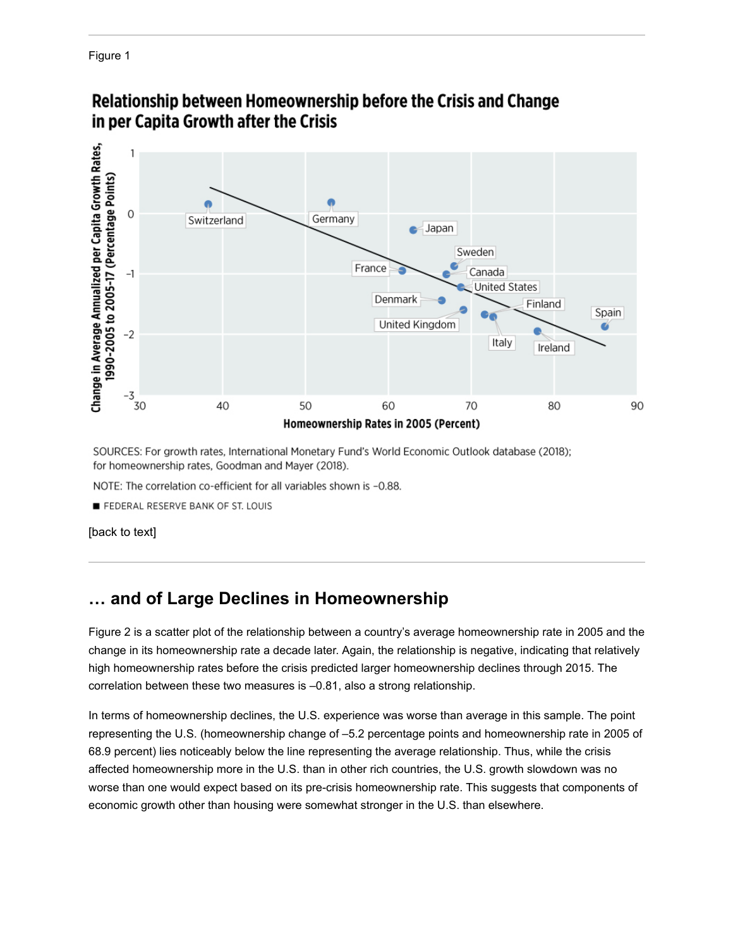<span id="page-3-0"></span>Figure 1



# Relationship between Homeownership before the Crisis and Change in per Capita Growth after the Crisis

SOURCES: For growth rates, International Monetary Fund's World Economic Outlook database (2018); for homeownership rates, Goodman and Mayer (2018).

NOTE: The correlation co-efficient for all variables shown is -0.88.

FEDERAL RESERVE BANK OF ST. LOUIS

[\[back](#page-2-1) to text]

### **… and of Large Declines in Homeownership**

<span id="page-3-1"></span>[Figure](#page-4-0) 2 is a scatter plot of the relationship between a country's average homeownership rate in 2005 and the change in its homeownership rate a decade later. Again, the relationship is negative, indicating that relatively high homeownership rates before the crisis predicted larger homeownership declines through 2015. The correlation between these two measures is –0.81, also a strong relationship.

In terms of homeownership declines, the U.S. experience was worse than average in this sample. The point representing the U.S. (homeownership change of –5.2 percentage points and homeownership rate in 2005 of 68.9 percent) lies noticeably below the line representing the average relationship. Thus, while the crisis affected homeownership more in the U.S. than in other rich countries, the U.S. growth slowdown was no worse than one would expect based on its pre-crisis homeownership rate. This suggests that components of economic growth other than housing were somewhat stronger in the U.S. than elsewhere.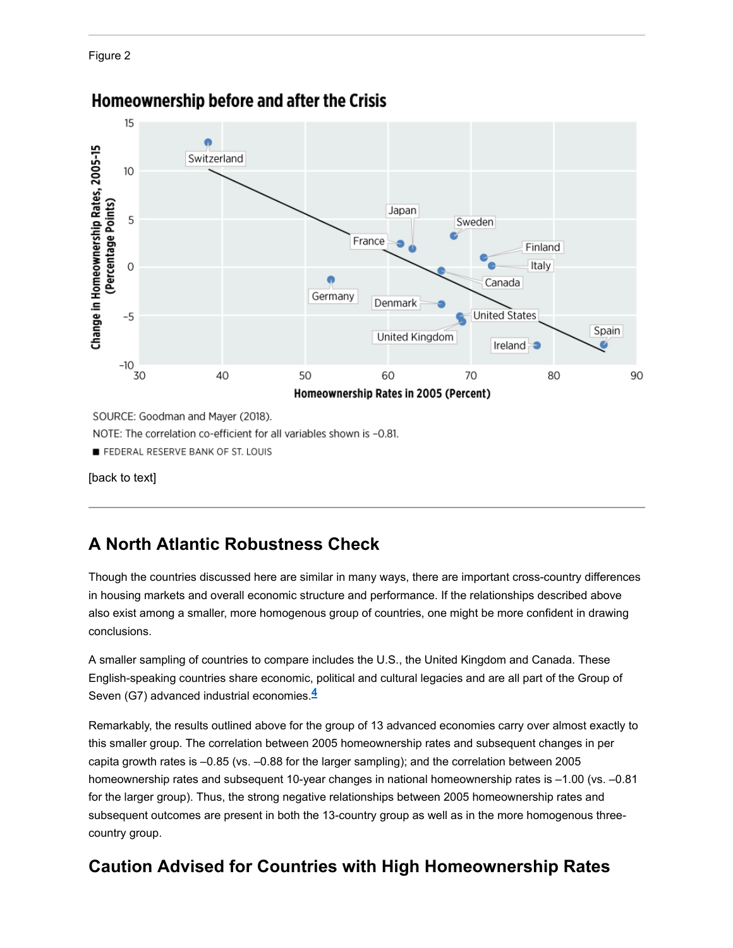<span id="page-4-0"></span>Figure 2



# Homeownership before and after the Crisis

SOURCE: Goodman and Mayer (2018).

NOTE: The correlation co-efficient for all variables shown is -0.81.

FEDERAL RESERVE BANK OF ST. LOUIS

[\[back](#page-3-1) to text]

# **A North Atlantic Robustness Check**

Though the countries discussed here are similar in many ways, there are important cross-country differences in housing markets and overall economic structure and performance. If the relationships described above also exist among a smaller, more homogenous group of countries, one might be more confident in drawing conclusions.

A smaller sampling of countries to compare includes the U.S., the United Kingdom and Canada. These English-speaking countries share economic, political and cultural legacies and are all part of the Group of Seven (G7) advanced industrial economies. **4**

Remarkably, the results outlined above for the group of 13 advanced economies carry over almost exactly to this smaller group. The correlation between 2005 homeownership rates and subsequent changes in per capita growth rates is –0.85 (vs. –0.88 for the larger sampling); and the correlation between 2005 homeownership rates and subsequent 10-year changes in national homeownership rates is –1.00 (vs. –0.81 for the larger group). Thus, the strong negative relationships between 2005 homeownership rates and subsequent outcomes are present in both the 13-country group as well as in the more homogenous threecountry group.

# **Caution Advised for Countries with High Homeownership Rates**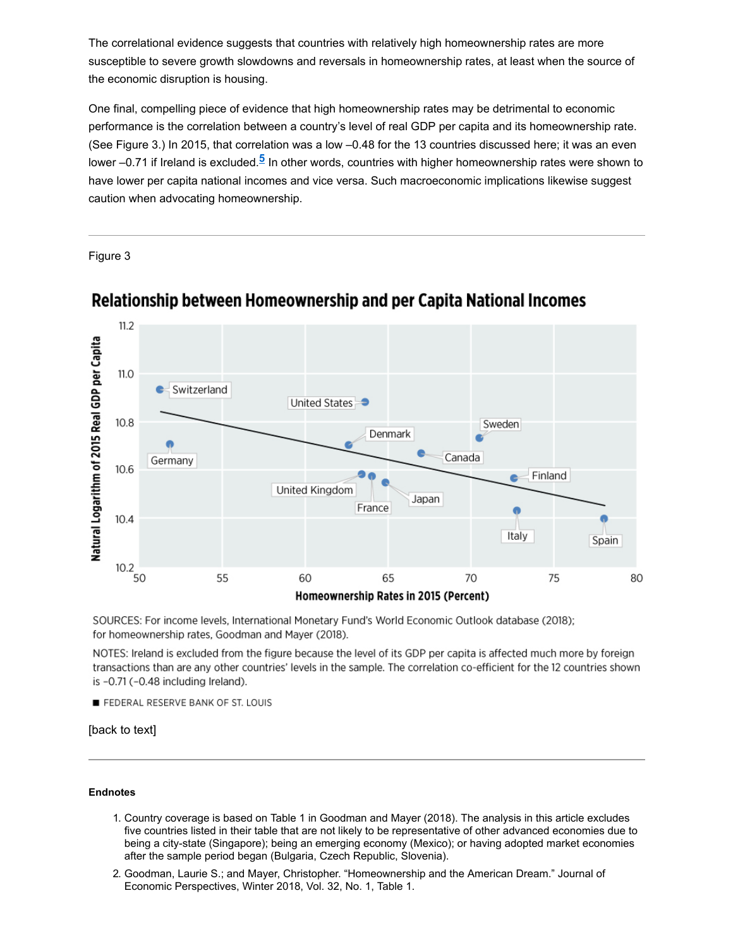The correlational evidence suggests that countries with relatively high homeownership rates are more susceptible to severe growth slowdowns and reversals in homeownership rates, at least when the source of the economic disruption is housing.

<span id="page-5-1"></span>One final, compelling piece of evidence that high homeownership rates may be detrimental to economic performance is the correlation between a country's level of real GDP per capita and its homeownership rate. (See [Figure](#page-5-0) 3.) In 2015, that correlation was a low –0.48 for the 13 countries discussed here; it was an even lower –0.71 if Ireland is excluded.<sup>5</sup> In other words, countries with higher homeownership rates were shown to have lower per capita national incomes and vice versa. Such macroeconomic implications likewise suggest caution when advocating homeownership.

<span id="page-5-0"></span>Figure 3



# Relationship between Homeownership and per Capita National Incomes

SOURCES: For income levels, International Monetary Fund's World Economic Outlook database (2018); for homeownership rates, Goodman and Mayer (2018).

NOTES: Ireland is excluded from the figure because the level of its GDP per capita is affected much more by foreign transactions than are any other countries' levels in the sample. The correlation co-efficient for the 12 countries shown is -0.71 (-0.48 including Ireland).

FEDERAL RESERVE BANK OF ST. LOUIS

[\[back](#page-5-1) to text]

#### **Endnotes**

- 1. Country coverage is based on Table 1 in Goodman and Mayer (2018). The analysis in this article excludes five countries listed in their table that are not likely to be representative of other advanced economies due to being a city-state (Singapore); being an emerging economy (Mexico); or having adopted market economies after the sample period began (Bulgaria, Czech Republic, Slovenia).
- 2. Goodman, Laurie S.; and Mayer, Christopher. "Homeownership and the American Dream." Journal of Economic Perspectives, Winter 2018, Vol. 32, No. 1, Table 1.